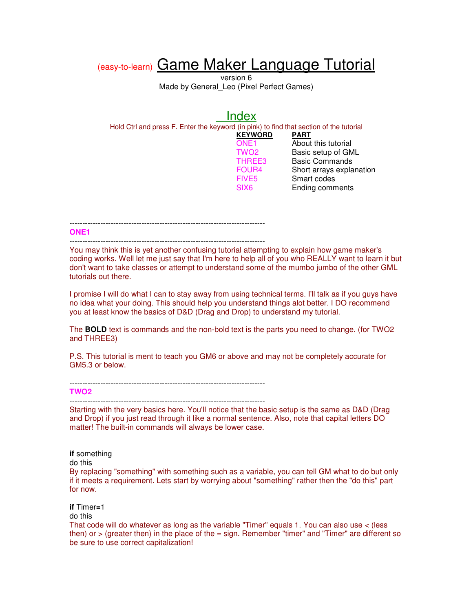# (easy-to-learn) Game Maker Language Tutorial

version 6 Made by General Leo (Pixel Perfect Games)

|                                                                                         | Index                                                                     |                                                                                                        |
|-----------------------------------------------------------------------------------------|---------------------------------------------------------------------------|--------------------------------------------------------------------------------------------------------|
| Hold Ctrl and press F. Enter the keyword (in pink) to find that section of the tutorial | <b>KEYWORD</b><br>ONE <sub>1</sub><br>TWO <sub>2</sub><br>THREE3<br>FOUR4 | PART<br>About this tutorial<br>Basic setup of GML<br><b>Basic Commands</b><br>Short arrays explanation |
|                                                                                         | FIVE <sub>5</sub><br>SIX <sub>6</sub>                                     | Smart codes<br><b>Ending comments</b>                                                                  |

#### ----------------------------------------------------------------------------

----------------------------------------------------------------------------

**ONE1**

You may think this is yet another confusing tutorial attempting to explain how game maker's coding works. Well let me just say that I'm here to help all of you who REALLY want to learn it but don't want to take classes or attempt to understand some of the mumbo jumbo of the other GML tutorials out there.

I promise I will do what I can to stay away from using technical terms. I'll talk as if you guys have no idea what your doing. This should help you understand things alot better. I DO recommend you at least know the basics of D&D (Drag and Drop) to understand my tutorial.

The **BOLD** text is commands and the non-bold text is the parts you need to change. (for TWO2 and THREE3)

P.S. This tutorial is ment to teach you GM6 or above and may not be completely accurate for GM5.3 or below.

**TWO2**

----------------------------------------------------------------------------

Starting with the very basics here. You'll notice that the basic setup is the same as D&D (Drag and Drop) if you just read through it like a normal sentence. Also, note that capital letters DO matter! The built-in commands will always be lower case.

**if** something do this

By replacing "something" with something such as a variable, you can tell GM what to do but only if it meets a requirement. Lets start by worrying about "something" rather then the "do this" part for now.

**if** Timer**=**1

do this

That code will do whatever as long as the variable "Timer" equals 1. You can also use < (less then) or  $>$  (greater then) in the place of the  $=$  sign. Remember "timer" and "Timer" are different so be sure to use correct capitalization!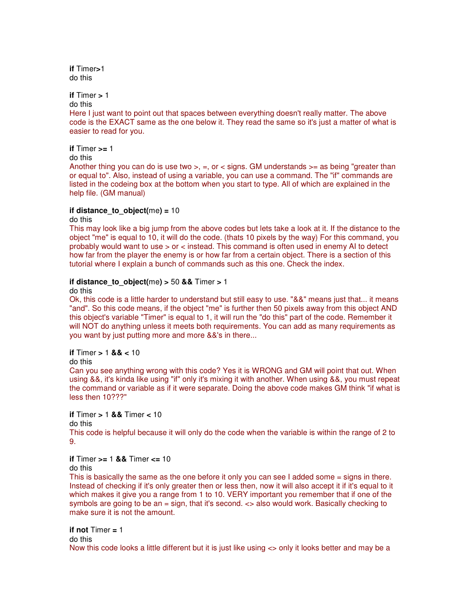**if** Timer**>**1 do this

**if** Timer **>** 1

do this

Here I just want to point out that spaces between everything doesn't really matter. The above code is the EXACT same as the one below it. They read the same so it's just a matter of what is easier to read for you.

**if** Timer **>=** 1

do this

Another thing you can do is use two  $>$ ,  $=$ , or  $<$  signs. GM understands  $>=$  as being "greater than or equal to". Also, instead of using a variable, you can use a command. The "if" commands are listed in the codeing box at the bottom when you start to type. All of which are explained in the help file. (GM manual)

### **if distance\_to\_object(**me**) =** 10

do this

This may look like a big jump from the above codes but lets take a look at it. If the distance to the object "me" is equal to 10, it will do the code. (thats 10 pixels by the way) For this command, you probably would want to use > or < instead. This command is often used in enemy AI to detect how far from the player the enemy is or how far from a certain object. There is a section of this tutorial where I explain a bunch of commands such as this one. Check the index.

### **if** distance to object(me)  $> 50$  && Timer  $> 1$

do this

Ok, this code is a little harder to understand but still easy to use. "&&" means just that... it means "and". So this code means, if the object "me" is further then 50 pixels away from this object AND this object's variable "Timer" is equal to 1, it will run the "do this" part of the code. Remember it will NOT do anything unless it meets both requirements. You can add as many requirements as you want by just putting more and more &&'s in there...

**if** Timer **>** 1 **&& <** 10

do this

Can you see anything wrong with this code? Yes it is WRONG and GM will point that out. When using &&, it's kinda like using "if" only it's mixing it with another. When using &&, you must repeat the command or variable as if it were separate. Doing the above code makes GM think "if what is less then 10???"

**if** Timer **>** 1 **&&** Timer **<** 10

do this

This code is helpful because it will only do the code when the variable is within the range of 2 to 9.

**if** Timer **>=** 1 **&&** Timer **<=** 10

do this

This is basically the same as the one before it only you can see I added some = signs in there. Instead of checking if it's only greater then or less then, now it will also accept it if it's equal to it which makes it give you a range from 1 to 10. VERY important you remember that if one of the symbols are going to be an = sign, that it's second. <> also would work. Basically checking to make sure it is not the amount.

**if not** Timer **=** 1 do this Now this code looks a little different but it is just like using <> only it looks better and may be a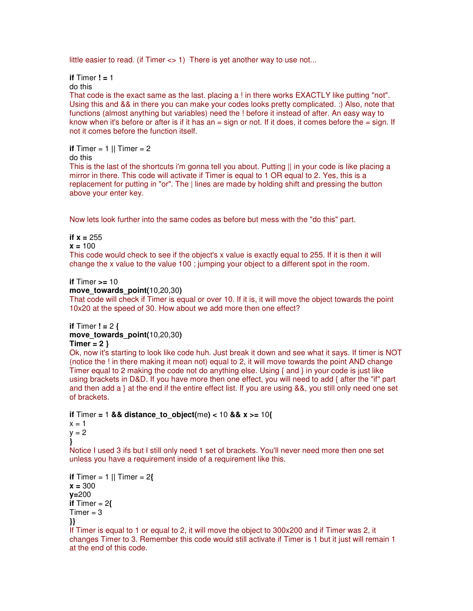little easier to read. (if Timer <> 1) There is yet another way to use not...

**if** Timer **! =** 1

do this

That code is the exact same as the last. placing a ! in there works EXACTLY like putting "not". Using this and && in there you can make your codes looks pretty complicated. :) Also, note that functions (almost anything but variables) need the ! before it instead of after. An easy way to know when it's before or after is if it has an = sign or not. If it does, it comes before the = sign. If not it comes before the function itself.

**if** Timer = 1 **||** Timer = 2

do this

This is the last of the shortcuts i'm gonna tell you about. Putting || in your code is like placing a mirror in there. This code will activate if Timer is equal to 1 OR equal to 2. Yes, this is a replacement for putting in "or". The | lines are made by holding shift and pressing the button above your enter key.

Now lets look further into the same codes as before but mess with the "do this" part.

**if**  $x = 255$ 

**x =** 100

This code would check to see if the object's x value is exactly equal to 255. If it is then it will change the x value to the value 100 ; jumping your object to a different spot in the room.

### **if** Timer **>=** 10

**move\_towards\_point(**10,20,30**)**

That code will check if Timer is equal or over 10. If it is, it will move the object towards the point 10x20 at the speed of 30. How about we add more then one effect?

```
if Timer ! = 2 {
```
### **move\_towards\_point(**10,20,30**)**

#### **Timer = 2 }**

Ok, now it's starting to look like code huh. Just break it down and see what it says. If timer is NOT (notice the ! in there making it mean not) equal to 2, it will move towards the point AND change Timer equal to 2 making the code not do anything else. Using { and } in your code is just like using brackets in D&D. If you have more then one effect, you will need to add { after the "if" part and then add a } at the end if the entire effect list. If you are using &&, you still only need one set of brackets.

**if** Timer **=** 1 **&& distance\_to\_object(**me**) <** 10 **&& x >=** 10**{**  $x = 1$  $y = 2$ **}**

Notice I used 3 ifs but I still only need 1 set of brackets. You'll never need more then one set unless you have a requirement inside of a requirement like this.

```
if Timer = 1 || Timer = 2{
x = 300 
y=200 
if Timer = 2Timer = 3}}
```
If Timer is equal to 1 or equal to 2, it will move the object to 300x200 and if Timer was 2, it changes Timer to 3. Remember this code would still activate if Timer is 1 but it just will remain 1 at the end of this code.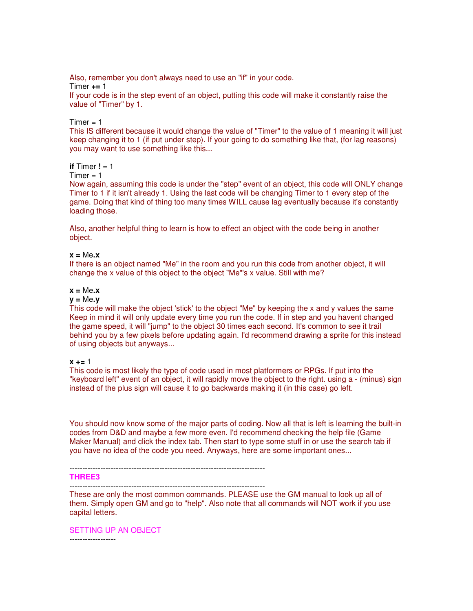Also, remember you don't always need to use an "if" in your code. Timer **+=** 1

If your code is in the step event of an object, putting this code will make it constantly raise the value of "Timer" by 1.

 $Timer = 1$ 

This IS different because it would change the value of "Timer" to the value of 1 meaning it will just keep changing it to 1 (if put under step). If your going to do something like that, (for lag reasons) you may want to use something like this...

#### **if**  $Time$  **!**  $= 1$

 $Timer = 1$ 

Now again, assuming this code is under the "step" event of an object, this code will ONLY change Timer to 1 if it isn't already 1. Using the last code will be changing Timer to 1 every step of the game. Doing that kind of thing too many times WILL cause lag eventually because it's constantly loading those.

Also, another helpful thing to learn is how to effect an object with the code being in another object.

**x =** Me**.x**

If there is an object named "Me" in the room and you run this code from another object, it will change the x value of this object to the object "Me"'s x value. Still with me?

#### **x =** Me**.x**

#### **y =** Me**.y**

This code will make the object 'stick' to the object "Me" by keeping the x and y values the same Keep in mind it will only update every time you run the code. If in step and you havent changed the game speed, it will "jump" to the object 30 times each second. It's common to see it trail behind you by a few pixels before updating again. I'd recommend drawing a sprite for this instead of using objects but anyways...

#### **x +=** 1

This code is most likely the type of code used in most platformers or RPGs. If put into the "keyboard left" event of an object, it will rapidly move the object to the right. using a - (minus) sign instead of the plus sign will cause it to go backwards making it (in this case) go left.

You should now know some of the major parts of coding. Now all that is left is learning the built-in codes from D&D and maybe a few more even. I'd recommend checking the help file (Game Maker Manual) and click the index tab. Then start to type some stuff in or use the search tab if you have no idea of the code you need. Anyways, here are some important ones...

----------------------------------------------------------------------------

#### **THREE3**

----------------------------------------------------------------------------

These are only the most common commands. PLEASE use the GM manual to look up all of them. Simply open GM and go to "help". Also note that all commands will NOT work if you use capital letters.

SETTING UP AN OBJECT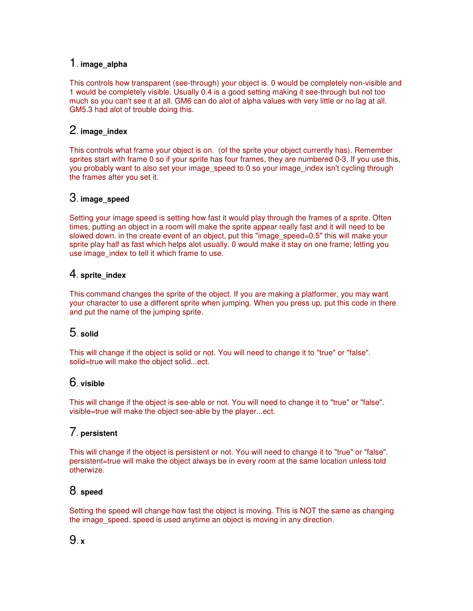# 1. **image\_alpha**

This controls how transparent (see-through) your object is. 0 would be completely non-visible and 1 would be completely visible. Usually 0.4 is a good setting making it see-through but not too much so you can't see it at all. GM6 can do alot of alpha values with very little or no lag at all. GM5.3 had alot of trouble doing this.

# 2. **image\_index**

This controls what frame your object is on. (of the sprite your object currently has). Remember sprites start with frame 0 so if your sprite has four frames, they are numbered 0-3. If you use this, you probably want to also set your image speed to 0 so your image index isn't cycling through the frames after you set it.

# 3. **image\_speed**

Setting your image speed is setting how fast it would play through the frames of a sprite. Often times, putting an object in a room will make the sprite appear really fast and it will need to be slowed down. in the create event of an object, put this "image speed=0.5" this will make your sprite play half as fast which helps alot usually. 0 would make it stay on one frame; letting you use image index to tell it which frame to use.

# 4. **sprite\_index**

This command changes the sprite of the object. If you are making a platformer, you may want your character to use a different sprite when jumping. When you press up, put this code in there and put the name of the jumping sprite.

# 5. **solid**

This will change if the object is solid or not. You will need to change it to "true" or "false". solid=true will make the object solid...ect.

# 6. **visible**

This will change if the object is see-able or not. You will need to change it to "true" or "false". visible=true will make the object see-able by the player...ect.

# 7. **persistent**

This will change if the object is persistent or not. You will need to change it to "true" or "false". persistent=true will make the object always be in every room at the same location unless told otherwize.

# 8. **speed**

Setting the speed will change how fast the object is moving. This is NOT the same as changing the image speed. speed is used anytime an object is moving in any direction.

# 9. **x**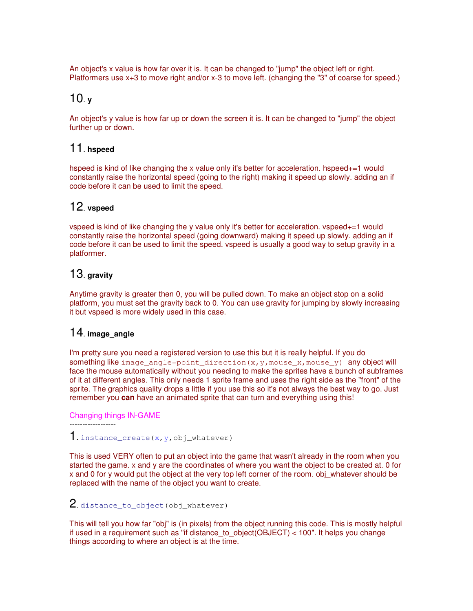An object's x value is how far over it is. It can be changed to "jump" the object left or right. Platformers use x+3 to move right and/or x-3 to move left. (changing the "3" of coarse for speed.)

# 10. **<sup>y</sup>**

An object's y value is how far up or down the screen it is. It can be changed to "jump" the object further up or down.

# 11. **hspeed**

hspeed is kind of like changing the x value only it's better for acceleration. hspeed+=1 would constantly raise the horizontal speed (going to the right) making it speed up slowly. adding an if code before it can be used to limit the speed.

# 12. **vspeed**

vspeed is kind of like changing the y value only it's better for acceleration. vspeed+=1 would constantly raise the horizontal speed (going downward) making it speed up slowly. adding an if code before it can be used to limit the speed. vspeed is usually a good way to setup gravity in a platformer.

# 13. **gravity**

Anytime gravity is greater then 0, you will be pulled down. To make an object stop on a solid platform, you must set the gravity back to 0. You can use gravity for jumping by slowly increasing it but vspeed is more widely used in this case.

# 14. **image\_angle**

I'm pretty sure you need a registered version to use this but it is really helpful. If you do something like image angle=point direction  $(x,y,mouse x,mouse y)$  any object will face the mouse automatically without you needing to make the sprites have a bunch of subframes of it at different angles. This only needs 1 sprite frame and uses the right side as the "front" of the sprite. The graphics quality drops a little if you use this so it's not always the best way to go. Just remember you **can** have an animated sprite that can turn and everything using this!

Changing things IN-GAME

------------------

1. instance create(x, y, obj whatever)

This is used VERY often to put an object into the game that wasn't already in the room when you started the game. x and y are the coordinates of where you want the object to be created at. 0 for x and 0 for y would put the object at the very top left corner of the room. obj\_whatever should be replaced with the name of the object you want to create.

# 2. distance to object(obj\_whatever)

This will tell you how far "obj" is (in pixels) from the object running this code. This is mostly helpful if used in a requirement such as "if distance to  $object(OBJECT) < 100"$ . It helps you change things according to where an object is at the time.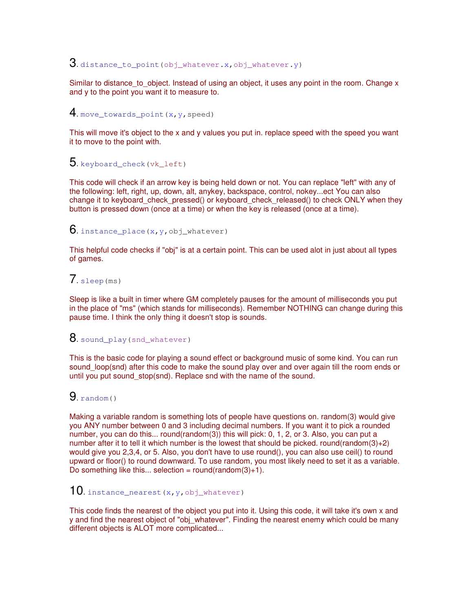# $3$ . distance\_to\_point(obj\_whatever.x,obj\_whatever.y)

Similar to distance to object. Instead of using an object, it uses any point in the room. Change  $x$ and y to the point you want it to measure to.

# 4. move\_towards\_point( $x,y$ , speed)

This will move it's object to the x and y values you put in. replace speed with the speed you want it to move to the point with.

# $5$ . keyboard check(vk left)

This code will check if an arrow key is being held down or not. You can replace "left" with any of the following: left, right, up, down, alt, anykey, backspace, control, nokey...ect You can also change it to keyboard check pressed() or keyboard check released() to check ONLY when they button is pressed down (once at a time) or when the key is released (once at a time).

### **6.** instance place(x, y, obj\_whatever)

This helpful code checks if "obj" is at a certain point. This can be used alot in just about all types of games.

# $7.$  sleep(ms)

Sleep is like a built in timer where GM completely pauses for the amount of milliseconds you put in the place of "ms" (which stands for milliseconds). Remember NOTHING can change during this pause time. I think the only thing it doesn't stop is sounds.

### $8.$  sound play(snd whatever)

This is the basic code for playing a sound effect or background music of some kind. You can run sound loop(snd) after this code to make the sound play over and over again till the room ends or until you put sound\_stop(snd). Replace snd with the name of the sound.

### $9.$  random()

Making a variable random is something lots of people have questions on. random(3) would give you ANY number between 0 and 3 including decimal numbers. If you want it to pick a rounded number, you can do this... round(random(3)) this will pick: 0, 1, 2, or 3. Also, you can put a number after it to tell it which number is the lowest that should be picked. round(random(3)+2) would give you 2,3,4, or 5. Also, you don't have to use round(), you can also use ceil() to round upward or floor() to round downward. To use random, you most likely need to set it as a variable. Do something like this... selection = round(random(3)+1).

# **10.** instance\_nearest(x,y,obj\_whatever)

This code finds the nearest of the object you put into it. Using this code, it will take it's own x and y and find the nearest object of "obj\_whatever". Finding the nearest enemy which could be many different objects is ALOT more complicated...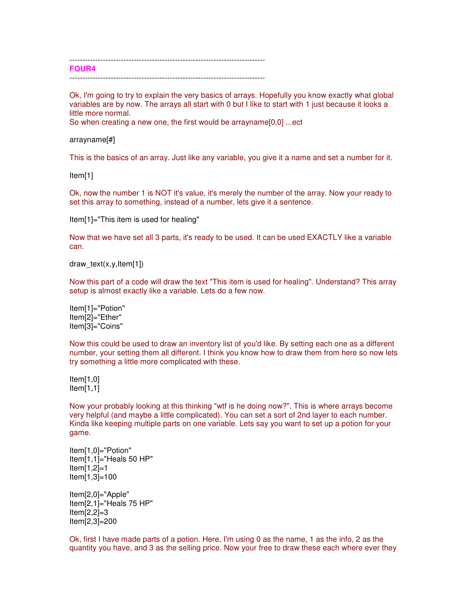---------------------------------------------------------------------------- **FOUR4** ----------------------------------------------------------------------------

Ok, I'm going to try to explain the very basics of arrays. Hopefully you know exactly what global variables are by now. The arrays all start with 0 but I like to start with 1 just because it looks a little more normal.

So when creating a new one, the first would be arrayname[0,0] ...ect

#### arrayname[#]

This is the basics of an array. Just like any variable, you give it a name and set a number for it.

Item[1]

Ok, now the number 1 is NOT it's value, it's merely the number of the array. Now your ready to set this array to something, instead of a number, lets give it a sentence.

Item[1]="This item is used for healing"

Now that we have set all 3 parts, it's ready to be used. It can be used EXACTLY like a variable can.

draw text(x,y, $Item[1]$ )

Now this part of a code will draw the text "This item is used for healing". Understand? This array setup is almost exactly like a variable. Lets do a few now.

Item[1]="Potion" Item[2]="Ether" Item[3]="Coins"

Now this could be used to draw an inventory list of you'd like. By setting each one as a different number, your setting them all different. I think you know how to draw them from here so now lets try something a little more complicated with these.

Item[1,0] Item[1,1]

Now your probably looking at this thinking "wtf is he doing now?". This is where arrays become very helpful (and maybe a little complicated). You can set a sort of 2nd layer to each number. Kinda like keeping multiple parts on one variable. Lets say you want to set up a potion for your game.

Item[1,0]="Potion" Item[1,1]="Heals 50 HP" Item[1,2]=1 Item[1,3]=100

Item[2,0]="Apple" Item[2,1]="Heals 75 HP" Item[2,2]=3 Item[2,3]=200

Ok, first I have made parts of a potion. Here, I'm using 0 as the name, 1 as the info, 2 as the quantity you have, and 3 as the selling price. Now your free to draw these each where ever they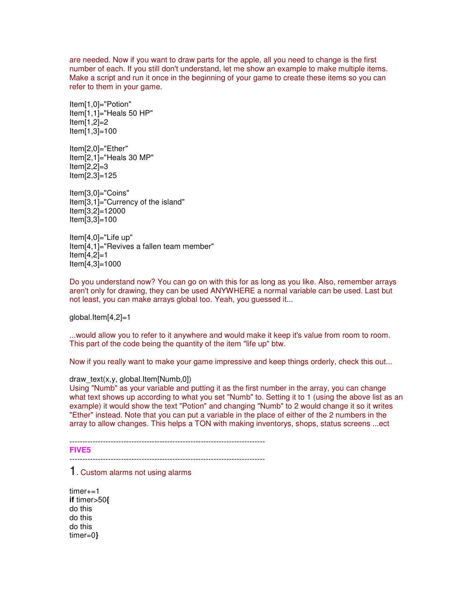are needed. Now if you want to draw parts for the apple, all you need to change is the first number of each. If you still don't understand, let me show an example to make multiple items. Make a script and run it once in the beginning of your game to create these items so you can refer to them in your game.

Item[1,0]="Potion" Item[1,1]="Heals 50 HP" Item[1,2]=2 Item[1,3]=100

Item[2,0]="Ether" Item[2,1]="Heals 30 MP" Item[2,2]=3 Item[2,3]=125

Item[3,0]="Coins" Item[3,1]="Currency of the island" Item[3,2]=12000 Item[3,3]=100

Item[4,0]="Life up" Item[4,1]="Revives a fallen team member" Item[4,2]=1 Item[4,3]=1000

Do you understand now? You can go on with this for as long as you like. Also, remember arrays aren't only for drawing, they can be used ANYWHERE a normal variable can be used. Last but not least, you can make arrays global too. Yeah, you guessed it...

global.Item[4,2]=1

...would allow you to refer to it anywhere and would make it keep it's value from room to room. This part of the code being the quantity of the item "life up" btw.

Now if you really want to make your game impressive and keep things orderly, check this out...

### draw\_text(x,y, global.Item[Numb,0])

Using "Numb" as your variable and putting it as the first number in the array, you can change what text shows up according to what you set "Numb" to. Setting it to 1 (using the above list as an example) it would show the text "Potion" and changing "Numb" to 2 would change it so it writes "Ether" instead. Note that you can put a variable in the place of either of the 2 numbers in the array to allow changes. This helps a TON with making inventorys, shops, status screens ...ect

---------------------------------------------------------------------------- **FIVE5**

----------------------------------------------------------------------------

# 1. Custom alarms not using alarms

timer+=1 **if** timer>50**{** do this do this do this timer=0**}**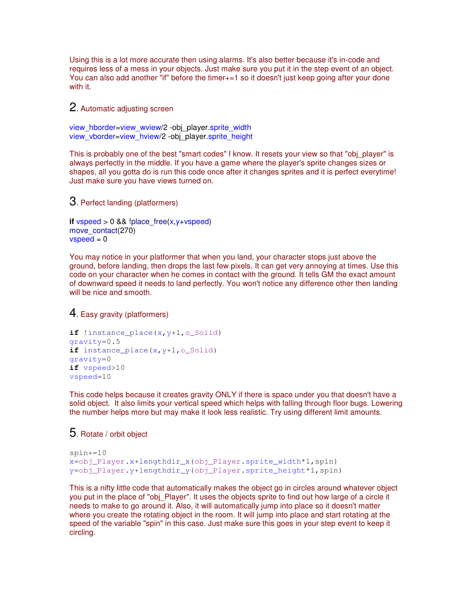Using this is a lot more accurate then using alarms. It's also better because it's in-code and requires less of a mess in your objects. Just make sure you put it in the step event of an object. You can also add another "if" before the timer<sub>+=</sub>1 so it doesn't just keep going after your done with it.

2. Automatic adjusting screen

view\_hborder=view\_wview/2 -obj\_player.sprite\_width view\_vborder=view\_hview/2 -obj\_player.sprite\_height

This is probably one of the best "smart codes" I know. It resets your view so that "obj\_player" is always perfectly in the middle. If you have a game where the player's sprite changes sizes or shapes, all you gotta do is run this code once after it changes sprites and it is perfect everytime! Just make sure you have views turned on.

3. Perfect landing (platformers)

```
if vspeed > 0 && !place free(x,y+vspeed)
move_contact(270)
vspeed = 0
```
You may notice in your platformer that when you land, your character stops just above the ground, before landing, then drops the last few pixels. It can get very annoying at times. Use this code on your character when he comes in contact with the ground. It tells GM the exact amount of downward speed it needs to land perfectly. You won't notice any difference other then landing will be nice and smooth.

4. Easy gravity (platformers)

```
if !instance_place(x, y+1, o_Solid)
gravity=0.5 
if instance place(x,y+1,o Solid)
gravity=0 
if vspeed>10 
vspeed=10
```
This code helps because it creates gravity ONLY if there is space under you that doesn't have a solid object. It also limits your vertical speed which helps with falling through floor bugs. Lowering the number helps more but may make it look less realistic. Try using different limit amounts.

# 5. Rotate / orbit object

```
spin+=10
x=obj_Player.x+lengthdir_x(obj_Player.sprite_width*1,spin)
y=obj_Player.y+lengthdir_y(obj_Player.sprite_height*1,spin)
```
This is a nifty little code that automatically makes the object go in circles around whatever object you put in the place of "obj\_Player". It uses the objects sprite to find out how large of a circle it needs to make to go around it. Also, it will automatically jump into place so it doesn't matter where you create the rotating object in the room. It will jump into place and start rotating at the speed of the variable "spin" in this case. Just make sure this goes in your step event to keep it circling.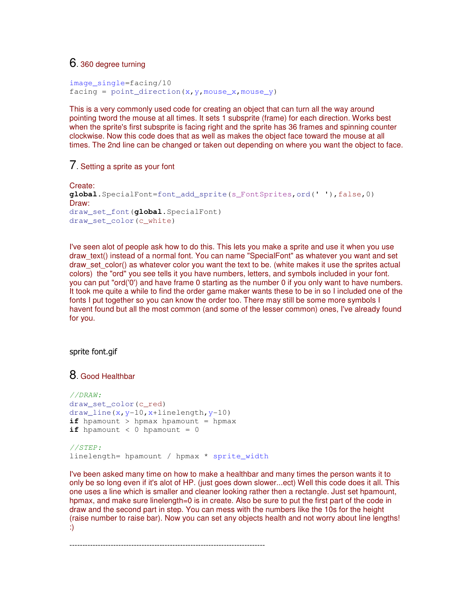# 6. 360 degree turning

```
image_single=facing/10 
facing = point direction(x, y, mouse x, mouse y)
```
This is a very commonly used code for creating an object that can turn all the way around pointing tword the mouse at all times. It sets 1 subsprite (frame) for each direction. Works best when the sprite's first subsprite is facing right and the sprite has 36 frames and spinning counter clockwise. Now this code does that as well as makes the object face toward the mouse at all times. The 2nd line can be changed or taken out depending on where you want the object to face.

# 7. Setting a sprite as your font

```
Create:
global.SpecialFont=font_add_sprite(s_FontSprites,ord(' '),false,0)
Draw: 
draw set font (global.SpecialFont)
draw_set_color(c_white)
```
I've seen alot of people ask how to do this. This lets you make a sprite and use it when you use draw\_text() instead of a normal font. You can name "SpecialFont" as whatever you want and set draw set color() as whatever color you want the text to be. (white makes it use the sprites actual colors) the "ord" you see tells it you have numbers, letters, and symbols included in your font. you can put "ord('0') and have frame 0 starting as the number 0 if you only want to have numbers. It took me quite a while to find the order game maker wants these to be in so I included one of the fonts I put together so you can know the order too. There may still be some more symbols I havent found but all the most common (and some of the lesser common) ones, I've already found for you.

### sprite font.gif

### 8. Good Healthbar

```
//DRAW:
draw_set_color(c_red) 
draw_line(x,y-10,x+linelength,y-10) 
if hpamount > hpmax hpamount = hpmax
if hpamount < 0 hpamount = 0
//STEP:
linelength= hpamount / hpmax * sprite width
```
I've been asked many time on how to make a healthbar and many times the person wants it to only be so long even if it's alot of HP. (just goes down slower...ect) Well this code does it all. This one uses a line which is smaller and cleaner looking rather then a rectangle. Just set hpamount, hpmax, and make sure linelength=0 is in create. Also be sure to put the first part of the code in draw and the second part in step. You can mess with the numbers like the 10s for the height (raise number to raise bar). Now you can set any objects health and not worry about line lengths! :)

----------------------------------------------------------------------------